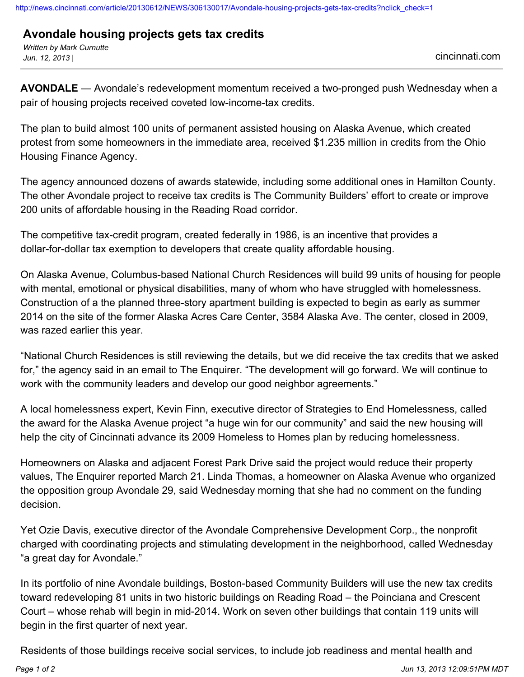## **Avondale housing projects gets tax credits**

*Written by Mark Curnutte Jun. 12, 2013 |* cincinnati.com

**AVONDALE** — Avondale's redevelopment momentum received a two-pronged push Wednesday when a pair of housing projects received coveted low-income-tax credits.

The plan to build almost 100 units of permanent assisted housing on Alaska Avenue, which created protest from some homeowners in the immediate area, received \$1.235 million in credits from the Ohio Housing Finance Agency.

The agency announced dozens of awards statewide, including some additional ones in Hamilton County. The other Avondale project to receive tax credits is The Community Builders' effort to create or improve 200 units of affordable housing in the Reading Road corridor.

The competitive tax-credit program, created federally in 1986, is an incentive that provides a dollar-for-dollar tax exemption to developers that create quality affordable housing.

On Alaska Avenue, Columbus-based National Church Residences will build 99 units of housing for people with mental, emotional or physical disabilities, many of whom who have struggled with homelessness. Construction of a the planned three-story apartment building is expected to begin as early as summer 2014 on the site of the former Alaska Acres Care Center, 3584 Alaska Ave. The center, closed in 2009, was razed earlier this year.

"National Church Residences is still reviewing the details, but we did receive the tax credits that we asked for," the agency said in an email to The Enquirer. "The development will go forward. We will continue to work with the community leaders and develop our good neighbor agreements."

A local homelessness expert, Kevin Finn, executive director of Strategies to End Homelessness, called the award for the Alaska Avenue project "a huge win for our community" and said the new housing will help the city of Cincinnati advance its 2009 Homeless to Homes plan by reducing homelessness.

Homeowners on Alaska and adjacent Forest Park Drive said the project would reduce their property values, The Enquirer reported March 21. Linda Thomas, a homeowner on Alaska Avenue who organized the opposition group Avondale 29, said Wednesday morning that she had no comment on the funding decision.

Yet Ozie Davis, executive director of the Avondale Comprehensive Development Corp., the nonprofit charged with coordinating projects and stimulating development in the neighborhood, called Wednesday "a great day for Avondale."

In its portfolio of nine Avondale buildings, Boston-based Community Builders will use the new tax credits toward redeveloping 81 units in two historic buildings on Reading Road – the Poinciana and Crescent Court – whose rehab will begin in mid-2014. Work on seven other buildings that contain 119 units will begin in the first quarter of next year.

Residents of those buildings receive social services, to include job readiness and mental health and